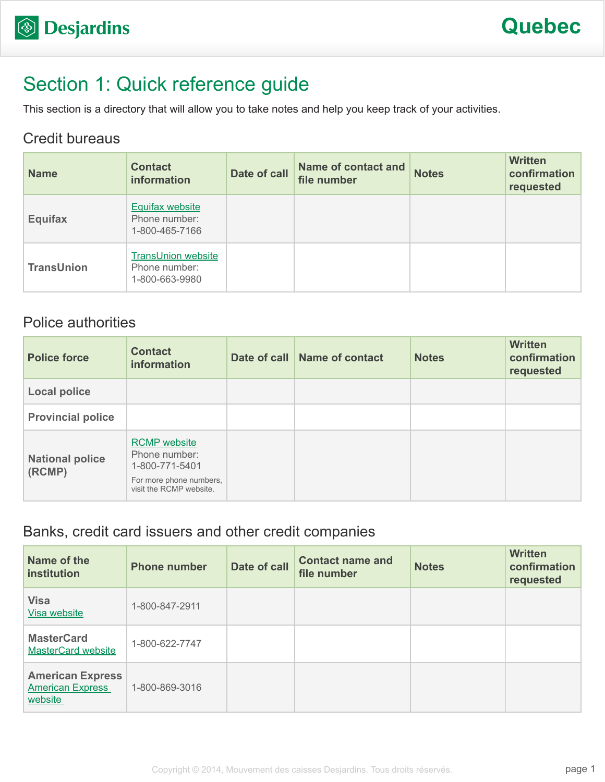# Section 1: Quick reference guide

This section is a directory that will allow you to take notes and help you keep track of your activities.

#### Credit bureaus

| <b>Name</b>       | <b>Contact</b><br>information                                | Date of call | <b>Name of contact and</b><br>file number | <b>Notes</b> | <b>Written</b><br>confirmation<br>requested |
|-------------------|--------------------------------------------------------------|--------------|-------------------------------------------|--------------|---------------------------------------------|
| <b>Equifax</b>    | <b>Equifax website</b><br>Phone number:<br>1-800-465-7166    |              |                                           |              |                                             |
| <b>TransUnion</b> | <b>TransUnion website</b><br>Phone number:<br>1-800-663-9980 |              |                                           |              |                                             |

#### Police authorities

| <b>Police force</b>              | <b>Contact</b><br>information                                                                                | Date of call Name of contact | <b>Notes</b> | <b>Written</b><br>confirmation<br>requested |
|----------------------------------|--------------------------------------------------------------------------------------------------------------|------------------------------|--------------|---------------------------------------------|
| <b>Local police</b>              |                                                                                                              |                              |              |                                             |
| <b>Provincial police</b>         |                                                                                                              |                              |              |                                             |
| <b>National police</b><br>(RCMP) | <b>RCMP</b> website<br>Phone number:<br>1-800-771-5401<br>For more phone numbers,<br>visit the RCMP website. |                              |              |                                             |

#### Banks, credit card issuers and other credit companies

| Name of the<br>institution                                    | <b>Phone number</b> | Date of call | <b>Contact name and</b><br>file number | <b>Notes</b> | <b>Written</b><br>confirmation<br>requested |
|---------------------------------------------------------------|---------------------|--------------|----------------------------------------|--------------|---------------------------------------------|
| <b>Visa</b><br>Visa website                                   | 1-800-847-2911      |              |                                        |              |                                             |
| <b>MasterCard</b><br><b>MasterCard website</b>                | 1-800-622-7747      |              |                                        |              |                                             |
| <b>American Express</b><br><b>American Express</b><br>website | 1-800-869-3016      |              |                                        |              |                                             |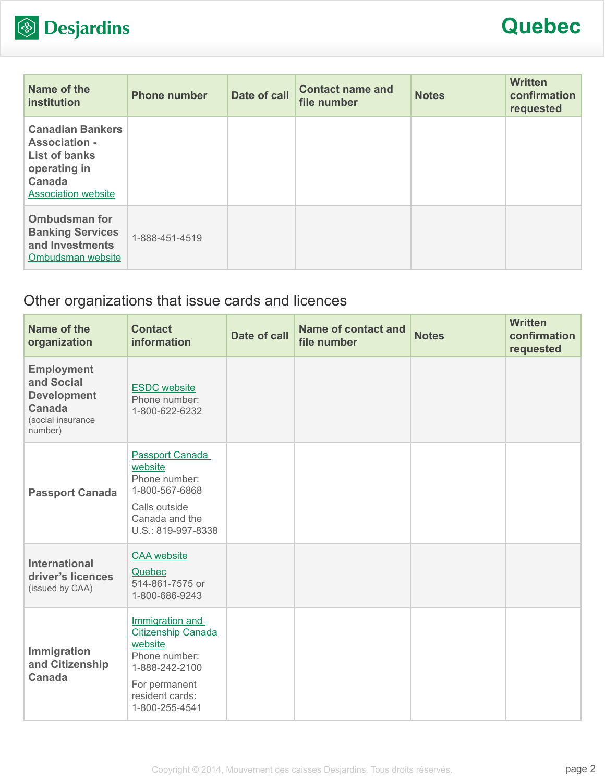

# **Quebec**

| Name of the<br><b>institution</b>                                                                                               | <b>Phone number</b> | Date of call | <b>Contact name and</b><br>file number | <b>Notes</b> | <b>Written</b><br>confirmation<br>requested |
|---------------------------------------------------------------------------------------------------------------------------------|---------------------|--------------|----------------------------------------|--------------|---------------------------------------------|
| <b>Canadian Bankers</b><br><b>Association -</b><br><b>List of banks</b><br>operating in<br>Canada<br><b>Association website</b> |                     |              |                                        |              |                                             |
| <b>Ombudsman for</b><br><b>Banking Services</b><br>and Investments<br>Ombudsman website                                         | 1-888-451-4519      |              |                                        |              |                                             |

### Other organizations that issue cards and licences

| Name of the<br>organization                                                                     | <b>Contact</b><br>information                                                                                                                    | <b>Date of call</b> | <b>Name of contact and</b><br>file number | <b>Notes</b> | <b>Written</b><br>confirmation<br>requested |
|-------------------------------------------------------------------------------------------------|--------------------------------------------------------------------------------------------------------------------------------------------------|---------------------|-------------------------------------------|--------------|---------------------------------------------|
| <b>Employment</b><br>and Social<br><b>Development</b><br>Canada<br>(social insurance<br>number) | <b>ESDC</b> website<br>Phone number:<br>1-800-622-6232                                                                                           |                     |                                           |              |                                             |
| <b>Passport Canada</b>                                                                          | <b>Passport Canada</b><br>website<br>Phone number:<br>1-800-567-6868<br>Calls outside<br>Canada and the<br>U.S.: 819-997-8338                    |                     |                                           |              |                                             |
| <b>International</b><br>driver's licences<br>(issued by CAA)                                    | <b>CAA</b> website<br>Quebec<br>514-861-7575 or<br>1-800-686-9243                                                                                |                     |                                           |              |                                             |
| Immigration<br>and Citizenship<br><b>Canada</b>                                                 | Immigration and<br><b>Citizenship Canada</b><br>website<br>Phone number:<br>1-888-242-2100<br>For permanent<br>resident cards:<br>1-800-255-4541 |                     |                                           |              |                                             |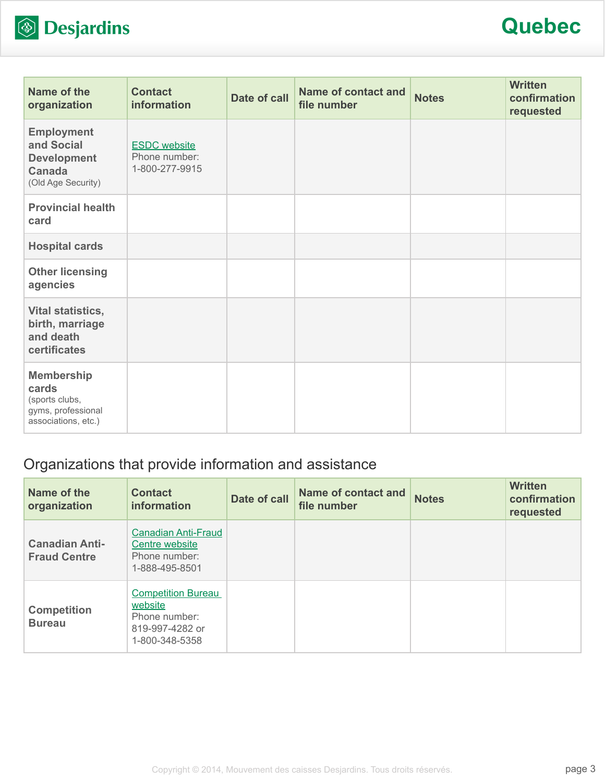

## **Quebec**

| Name of the<br>organization                                                               | <b>Contact</b><br>information                          | Date of call | <b>Name of contact and</b><br>file number | <b>Notes</b> | <b>Written</b><br>confirmation<br>requested |
|-------------------------------------------------------------------------------------------|--------------------------------------------------------|--------------|-------------------------------------------|--------------|---------------------------------------------|
| <b>Employment</b><br>and Social<br><b>Development</b><br>Canada<br>(Old Age Security)     | <b>ESDC</b> website<br>Phone number:<br>1-800-277-9915 |              |                                           |              |                                             |
| <b>Provincial health</b><br>card                                                          |                                                        |              |                                           |              |                                             |
| <b>Hospital cards</b>                                                                     |                                                        |              |                                           |              |                                             |
| <b>Other licensing</b><br>agencies                                                        |                                                        |              |                                           |              |                                             |
| Vital statistics,<br>birth, marriage<br>and death<br>certificates                         |                                                        |              |                                           |              |                                             |
| <b>Membership</b><br>cards<br>(sports clubs,<br>gyms, professional<br>associations, etc.) |                                                        |              |                                           |              |                                             |

### Organizations that provide information and assistance

| Name of the<br>organization                  | <b>Contact</b><br>information                                                              | Date of call | <b>Name of contact and</b><br>file number | <b>Notes</b> | <b>Written</b><br>confirmation<br>requested |
|----------------------------------------------|--------------------------------------------------------------------------------------------|--------------|-------------------------------------------|--------------|---------------------------------------------|
| <b>Canadian Anti-</b><br><b>Fraud Centre</b> | <b>Canadian Anti-Fraud</b><br>Centre website<br>Phone number:<br>1-888-495-8501            |              |                                           |              |                                             |
| <b>Competition</b><br><b>Bureau</b>          | <b>Competition Bureau</b><br>website<br>Phone number:<br>819-997-4282 or<br>1-800-348-5358 |              |                                           |              |                                             |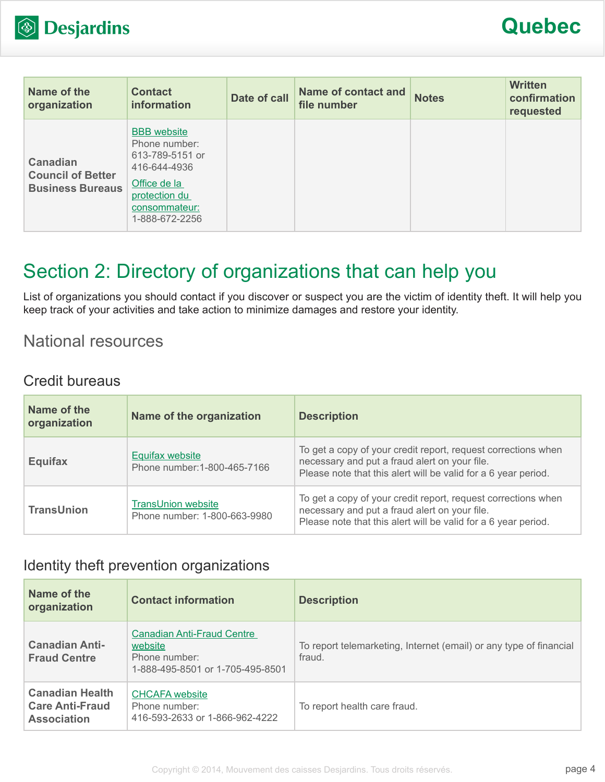

| Name of the<br>organization                                            | <b>Contact</b><br>information                                                                                                              | Date of call | <b>Name of contact and</b><br>file number | <b>Notes</b> | <b>Written</b><br>confirmation<br>requested |
|------------------------------------------------------------------------|--------------------------------------------------------------------------------------------------------------------------------------------|--------------|-------------------------------------------|--------------|---------------------------------------------|
| <b>Canadian</b><br><b>Council of Better</b><br><b>Business Bureaus</b> | <b>BBB</b> website<br>Phone number:<br>613-789-5151 or<br>416-644-4936<br>Office de la<br>protection du<br>consommateur:<br>1-888-672-2256 |              |                                           |              |                                             |

# Section 2: Directory of organizations that can help you

List of organizations you should contact if you discover or suspect you are the victim of identity theft. It will help you keep track of your activities and take action to minimize damages and restore your identity.

### National resources

#### Credit bureaus

| Name of the<br>organization | Name of the organization                                  | <b>Description</b>                                                                                                                                                               |
|-----------------------------|-----------------------------------------------------------|----------------------------------------------------------------------------------------------------------------------------------------------------------------------------------|
| <b>Equifax</b>              | Equifax website<br>Phone number: 1-800-465-7166           | To get a copy of your credit report, request corrections when<br>necessary and put a fraud alert on your file.<br>Please note that this alert will be valid for a 6 year period. |
| <b>TransUnion</b>           | <b>TransUnion website</b><br>Phone number: 1-800-663-9980 | To get a copy of your credit report, request corrections when<br>necessary and put a fraud alert on your file.<br>Please note that this alert will be valid for a 6 year period. |

#### Identity theft prevention organizations

| Name of the<br>organization                                            | <b>Contact information</b>                                                                        | <b>Description</b>                                                           |
|------------------------------------------------------------------------|---------------------------------------------------------------------------------------------------|------------------------------------------------------------------------------|
| <b>Canadian Anti-</b><br><b>Fraud Centre</b>                           | <b>Canadian Anti-Fraud Centre</b><br>website<br>Phone number:<br>1-888-495-8501 or 1-705-495-8501 | To report telemarketing, Internet (email) or any type of financial<br>fraud. |
| <b>Canadian Health</b><br><b>Care Anti-Fraud</b><br><b>Association</b> | <b>CHCAFA</b> website<br>Phone number:<br>416-593-2633 or 1-866-962-4222                          | To report health care fraud.                                                 |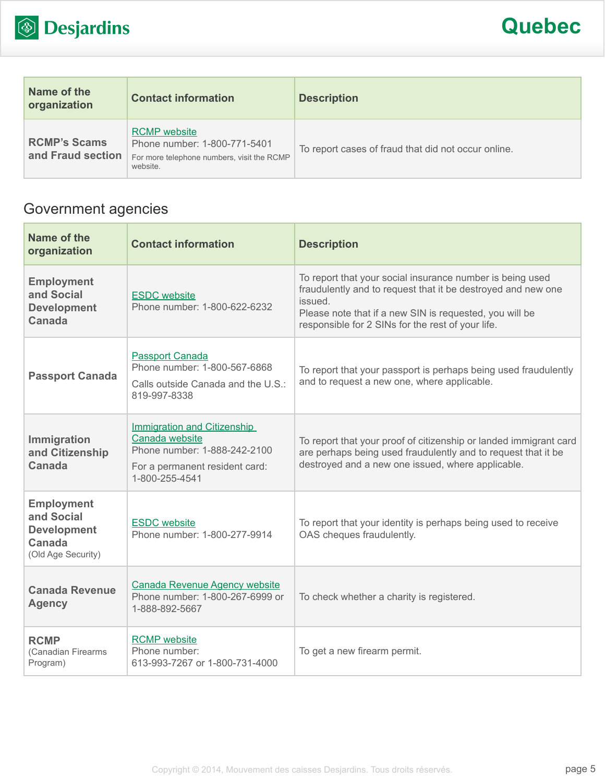

| Name of the<br>organization              | <b>Contact information</b>                                                                                    | <b>Description</b>                                  |
|------------------------------------------|---------------------------------------------------------------------------------------------------------------|-----------------------------------------------------|
| <b>RCMP's Scams</b><br>and Fraud section | <b>RCMP</b> website<br>Phone number: 1-800-771-5401<br>For more telephone numbers, visit the RCMP<br>website. | To report cases of fraud that did not occur online. |

### Government agencies

| Name of the<br>organization                                                           | <b>Contact information</b>                                                                                                               | <b>Description</b>                                                                                                                                                                                                                                   |
|---------------------------------------------------------------------------------------|------------------------------------------------------------------------------------------------------------------------------------------|------------------------------------------------------------------------------------------------------------------------------------------------------------------------------------------------------------------------------------------------------|
| <b>Employment</b><br>and Social<br><b>Development</b><br>Canada                       | <b>ESDC</b> website<br>Phone number: 1-800-622-6232                                                                                      | To report that your social insurance number is being used<br>fraudulently and to request that it be destroyed and new one<br>issued.<br>Please note that if a new SIN is requested, you will be<br>responsible for 2 SINs for the rest of your life. |
| <b>Passport Canada</b>                                                                | <b>Passport Canada</b><br>Phone number: 1-800-567-6868<br>Calls outside Canada and the U.S.:<br>819-997-8338                             | To report that your passport is perhaps being used fraudulently<br>and to request a new one, where applicable.                                                                                                                                       |
| Immigration<br>and Citizenship<br>Canada                                              | <b>Immigration and Citizenship</b><br>Canada website<br>Phone number: 1-888-242-2100<br>For a permanent resident card:<br>1-800-255-4541 | To report that your proof of citizenship or landed immigrant card<br>are perhaps being used fraudulently and to request that it be<br>destroyed and a new one issued, where applicable.                                                              |
| <b>Employment</b><br>and Social<br><b>Development</b><br>Canada<br>(Old Age Security) | <b>ESDC</b> website<br>Phone number: 1-800-277-9914                                                                                      | To report that your identity is perhaps being used to receive<br>OAS cheques fraudulently.                                                                                                                                                           |
| <b>Canada Revenue</b><br><b>Agency</b>                                                | <b>Canada Revenue Agency website</b><br>Phone number: 1-800-267-6999 or<br>1-888-892-5667                                                | To check whether a charity is registered.                                                                                                                                                                                                            |
| <b>RCMP</b><br>(Canadian Firearms<br>Program)                                         | <b>RCMP</b> website<br>Phone number:<br>613-993-7267 or 1-800-731-4000                                                                   | To get a new firearm permit.                                                                                                                                                                                                                         |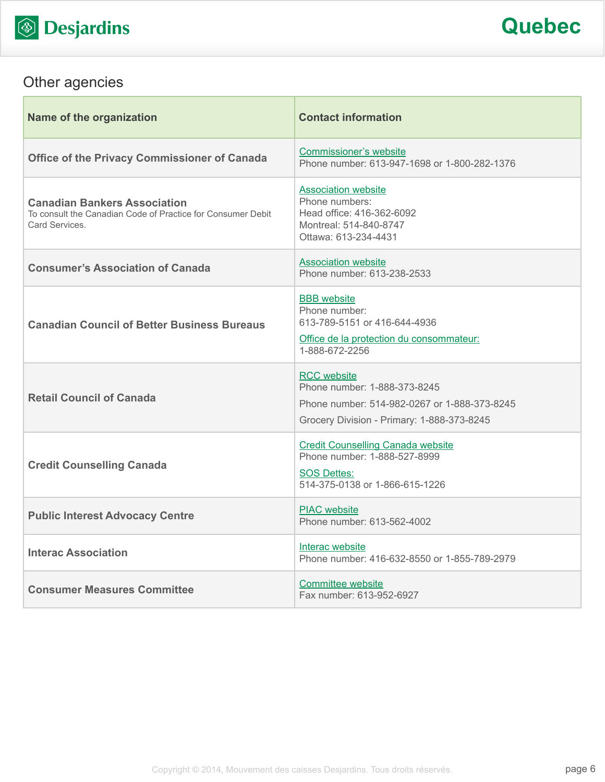

## Other agencies

| Name of the organization                                                                                            | <b>Contact information</b>                                                                                                                       |
|---------------------------------------------------------------------------------------------------------------------|--------------------------------------------------------------------------------------------------------------------------------------------------|
| <b>Office of the Privacy Commissioner of Canada</b>                                                                 | <b>Commissioner's website</b><br>Phone number: 613-947-1698 or 1-800-282-1376                                                                    |
| <b>Canadian Bankers Association</b><br>To consult the Canadian Code of Practice for Consumer Debit<br>Card Services | <b>Association website</b><br>Phone numbers:<br>Head office: 416-362-6092<br>Montreal: 514-840-8747<br>Ottawa: 613-234-4431                      |
| <b>Consumer's Association of Canada</b>                                                                             | <b>Association website</b><br>Phone number: 613-238-2533                                                                                         |
| <b>Canadian Council of Better Business Bureaus</b>                                                                  | <b>BBB</b> website<br>Phone number:<br>613-789-5151 or 416-644-4936<br>Office de la protection du consommateur:<br>1-888-672-2256                |
| <b>Retail Council of Canada</b>                                                                                     | <b>RCC</b> website<br>Phone number: 1-888-373-8245<br>Phone number: 514-982-0267 or 1-888-373-8245<br>Grocery Division - Primary: 1-888-373-8245 |
| <b>Credit Counselling Canada</b>                                                                                    | <b>Credit Counselling Canada website</b><br>Phone number: 1-888-527-8999<br><b>SOS Dettes:</b><br>514-375-0138 or 1-866-615-1226                 |
| <b>Public Interest Advocacy Centre</b>                                                                              | <b>PIAC</b> website<br>Phone number: 613-562-4002                                                                                                |
| <b>Interac Association</b>                                                                                          | Interac website<br>Phone number: 416-632-8550 or 1-855-789-2979                                                                                  |
| <b>Consumer Measures Committee</b>                                                                                  | Committee website<br>Fax number: 613-952-6927                                                                                                    |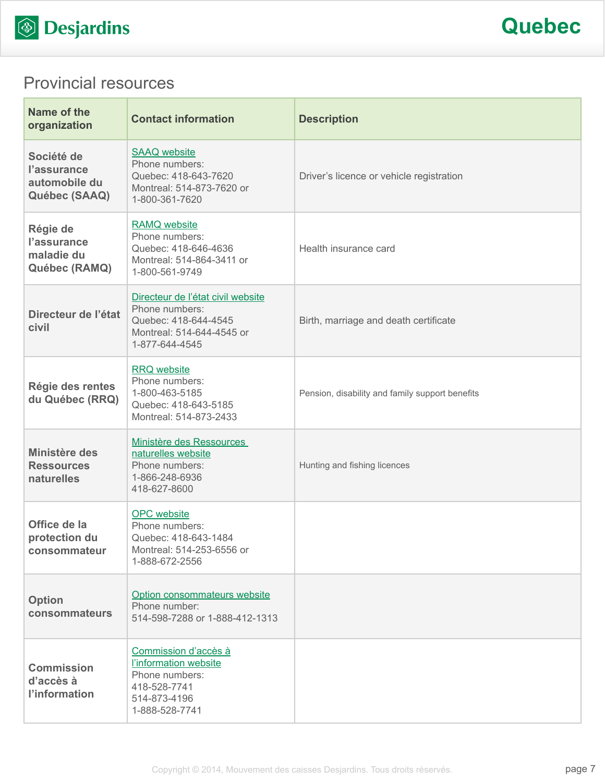

## Provincial resources

| Name of the<br>organization                                 | <b>Contact information</b>                                                                                                 | <b>Description</b>                              |
|-------------------------------------------------------------|----------------------------------------------------------------------------------------------------------------------------|-------------------------------------------------|
| Société de<br>l'assurance<br>automobile du<br>Québec (SAAQ) | <b>SAAQ</b> website<br>Phone numbers:<br>Quebec: 418-643-7620<br>Montreal: 514-873-7620 or<br>1-800-361-7620               | Driver's licence or vehicle registration        |
| Régie de<br>l'assurance<br>maladie du<br>Québec (RAMQ)      | <b>RAMQ</b> website<br>Phone numbers:<br>Quebec: 418-646-4636<br>Montreal: 514-864-3411 or<br>1-800-561-9749               | Health insurance card                           |
| Directeur de l'état<br>civil                                | Directeur de l'état civil website<br>Phone numbers:<br>Quebec: 418-644-4545<br>Montreal: 514-644-4545 or<br>1-877-644-4545 | Birth, marriage and death certificate           |
| Régie des rentes<br>du Québec (RRQ)                         | <b>RRQ</b> website<br>Phone numbers:<br>1-800-463-5185<br>Quebec: 418-643-5185<br>Montreal: 514-873-2433                   | Pension, disability and family support benefits |
| Ministère des<br><b>Ressources</b><br>naturelles            | Ministère des Ressources<br>naturelles website<br>Phone numbers:<br>1-866-248-6936<br>418-627-8600                         | Hunting and fishing licences                    |
| Office de la<br>protection du<br>consommateur               | <b>OPC</b> website<br>Phone numbers:<br>Quebec: 418-643-1484<br>Montreal: 514-253-6556 or<br>1-888-672-2556                |                                                 |
| <b>Option</b><br>consommateurs                              | Option consommateurs website<br>Phone number:<br>514-598-7288 or 1-888-412-1313                                            |                                                 |
| <b>Commission</b><br>d'accès à<br>l'information             | Commission d'accès à<br>l'information website<br>Phone numbers:<br>418-528-7741<br>514-873-4196<br>1-888-528-7741          |                                                 |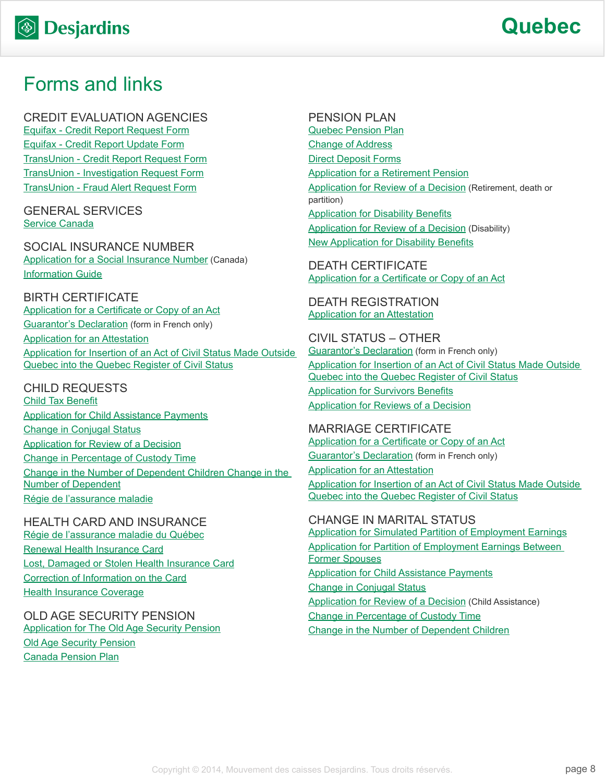## Forms and links

CREDIT EVALUATION AGENCIES [Equifax - Credit Report Request Form](http://www.equifax.com/ecm/canada/EFXCreditReportRequestForm.pdf) [Equifax - Credit Report Update Form](http://www.consumer.equifax.ca/dispute-ca/canada-cr-update-form/en_ca) [TransUnion - Credit Report Request Form](http://www.transunion.ca/docs/personal/Consumer_Disclosure_Request_Form_en.pdf) [TransUnion - Investigation Request Form](http://www.transunion.ca/docs/personal/Credit Investigation Request Form_en.pdf) [TransUnion - Fraud Alert Request Form](http://www.transunion.ca/docs/personal/Ca_Fraud_Alert_Request_Form.pdf)

GENERAL SERVICES [Service Canada](http://www.servicecanada.gc.ca/eng/home.shtml)

SOCIAL INSURANCE NUMBER [Application for a Social Insurance Number](http://www.servicecanada.gc.ca/cgi-bin/search/eforms/index.cgi?app=prfl&frm=nas2120&ln=eng) (Canada) [Information Guide](http://www.servicecanada.gc.ca/eforms/forms/nas-2120-(09-13)e.pdf)

BIRTH CERTIFICATE [Application for a Certificate or Copy of an Act](http://www.etatcivil.gouv.qc.ca/publications/DCCA-Birth_2013-2014.pdf) **[Guarantor's Declaration](http://www.etatcivil.gouv.qc.ca/publications/FO-11-15-F Declaration du repondant.pdf) (form in French only)** [Application for an Attestation](http://www.etatcivil.gouv.qc.ca/publications/FO-18-01 Application for an Attestation.pdf) [Application for Insertion of an Act of Civil Status Made Outside](http://www.etatcivil.gouv.qc.ca/publications/FO-16-23 Application for Insertion of an Act of Civil Status Made Outside Quebec in the Quebec Register of Civil Status.pdf)  [Quebec into the Quebec Register of Civil Status](http://www.etatcivil.gouv.qc.ca/publications/FO-16-23 Application for Insertion of an Act of Civil Status Made Outside Quebec in the Quebec Register of Civil Status.pdf)

CHILD REQUESTS [Child Tax Benefit](http://www.cra-arc.gc.ca/bnfts/cctb/menu-eng.html) [Application for Child Assistance Payments](http://www.rrq.gouv.qc.ca/SiteCollectionDocuments/www.rrq.gouv.qc/anglais/formulaires/soutien_aux_enfants/LPF800_en.pdf) [Change in Conjugal Status](http://www.rrq.gouv.qc.ca/SiteCollectionDocuments/www.rrq.gouv.qc/anglais/formulaires/soutien_aux_enfants/LPF801_en.pdf) [Application for Review of a Decision](http://www.rrq.gouv.qc.ca/SiteCollectionDocuments/www.rrq.gouv.qc/anglais/formulaires/soutien_aux_enfants/LPF006-1_en.pdf) [Change in Percentage of Custody Time](http://www.rrq.gouv.qc.ca/SiteCollectionDocuments/www.rrq.gouv.qc/anglais/formulaires/soutien_aux_enfants/LPF809_en.pdf) [Change in the Number of Dependent Children Change in the](http://www.rrq.gouv.qc.ca/SiteCollectionDocuments/www.rrq.gouv.qc/anglais/formulaires/soutien_aux_enfants/LPF806_en.pdf)  [Number of Dependent](http://www.rrq.gouv.qc.ca/SiteCollectionDocuments/www.rrq.gouv.qc/anglais/formulaires/soutien_aux_enfants/LPF806_en.pdf) [Régie de l'assurance maladie](http://www.ramq.gouv.qc.ca/en/life-events/birth-adoption/Pages/health-insurance.aspx)

HEALTH CARD AND INSURANCE [Régie de l'assurance maladie du Québec](http://www.ramq.gouv.qc.ca/en/Pages/home.aspx) [Renewal Health Insurance Card](http://www.ramq.gouv.qc.ca/en/citizens/health-insurance/health-insurance-card/Pages/renewal.aspx) [Lost, Damaged or Stolen Health Insurance Card](http://www.ramq.gouv.qc.ca/en/citizens/health-insurance/health-insurance-card/Pages/lost-damaged-stolen-card.aspx) [Correction of Information on the Card](http://www.ramq.gouv.qc.ca/en/citizens/health-insurance/health-insurance-card/Pages/correction-information-card.aspx) [Health Insurance Coverage](http://www.ramq.gouv.qc.ca/en/citizens/health-insurance/pages/health-insurance.aspx)

OLD AGE SECURITY PENSION [Application for The Old Age Security Pension](http://www.servicecanada.gc.ca/cgi-bin/search/eforms/index.cgi?app=prfl&frm=isp3000&ln=eng) [Old Age Security Pension](http://www.servicecanada.gc.ca/eng/sc/oas/pension/oldagesecurity.shtml) [Canada Pension Plan](http://www.servicecanada.gc.ca/eng/isp/cpp/cpptoc.shtml)

PENSION PLAN

[Quebec Pension Plan](http://www.rrq.gouv.qc.ca/en/accueil/Pages/accueil.aspx) [Change of Address](http://www.rrq.gouv.qc.ca/en/services/services_en_ligne/Pages/sqca.aspx) [Direct Deposit Forms](http://www.rrq.gouv.qc.ca/en/services/formulaires/depot_direct/Pages/depot_direct.aspx) [Application for a Retirement Pension](http://www.rrq.gouv.qc.ca/SiteCollectionDocuments/www.rrq.gouv.qc/anglais/formulaires/regime_rentes/retraite/B001_en.pdf) [Application for Review of a Decision](http://www.rrq.gouv.qc.ca/SiteCollectionDocuments/www.rrq.gouv.qc/anglais/formulaires/regime_rentes/B026-1_en.pdf) (Retirement, death or partition) [Application for Disability Benefits](http://www.rrq.gouv.qc.ca/SiteCollectionDocuments/www.rrq.gouv.qc/anglais/formulaires/regime_rentes/invalidite/B071_en.pdf) **[Application for Review of a Decision](http://www.rrq.gouv.qc.ca/SiteCollectionDocuments/www.rrq.gouv.qc/anglais/formulaires/regime_rentes/B026-2_en.pdf) (Disability)** [New Application for Disability Benefits](http://www.rrq.gouv.qc.ca/SiteCollectionDocuments/www.rrq.gouv.qc/anglais/formulaires/regime_rentes/invalidite/B004_en.pdf)

DEATH CERTIFICATE [Application for a Certificate or Copy of an Act](http://www.etatcivil.gouv.qc.ca/publications/DCCA-Death_2013-2014.pdf)

DEATH REGISTRATION [Application for an Attestation](http://www.etatcivil.gouv.qc.ca/publications/FO-18-01 Application for an Attestation.pdf)

CIVIL STATUS – OTHER [Guarantor's Declaration](http://www.etatcivil.gouv.qc.ca/publications/FO-11-15-F Declaration du repondant.pdf) (form in French only) [Application for Insertion of an Act of Civil Status Made Outside](http://www.etatcivil.gouv.qc.ca/publications/FO-16-23 Application for Insertion of an Act of Civil Status Made Outside Quebec in the Quebec Register of Civil Status.pdf)  [Quebec into the Quebec Register of Civil Status](http://www.etatcivil.gouv.qc.ca/publications/FO-16-23 Application for Insertion of an Act of Civil Status Made Outside Quebec in the Quebec Register of Civil Status.pdf) [Application for Survivors Benefits](http://www.rrq.gouv.qc.ca/SiteCollectionDocuments/www.rrq.gouv.qc/anglais/formulaires/regime_rentes/deces/B042_en.pdf) [Application for Reviews of a Decision](http://www.rrq.gouv.qc.ca/SiteCollectionDocuments/www.rrq.gouv.qc/anglais/formulaires/regime_rentes/B026-1_en.pdf)

MARRIAGE CERTIFICATE [Application for a Certificate or Copy of an Act](http://www.etatcivil.gouv.qc.ca/publications/DCCA-Marriage_Civil_Union_2013-2014.pdf) [Guarantor's Declaration](http://www.etatcivil.gouv.qc.ca/publications/FO-11-15-F Declaration du repondant.pdf) (form in French only) **[Application for an Attestation](http://www.etatcivil.gouv.qc.ca/publications/FO-18-01 Application for an Attestation.pdf)** [Application for Insertion of an Act of Civil Status Made Outside](http://www.etatcivil.gouv.qc.ca/publications/FO-16-23 Application for Insertion of an Act of Civil Status Made Outside Quebec in the Quebec Register of Civil Status.pdf)  [Quebec into the Quebec Register of Civil Status](http://www.etatcivil.gouv.qc.ca/publications/FO-16-23 Application for Insertion of an Act of Civil Status Made Outside Quebec in the Quebec Register of Civil Status.pdf)

CHANGE IN MARITAL STATUS [Application for Simulated Partition of Employment Earnings](http://www.rrq.gouv.qc.ca/SiteCollectionDocuments/www.rrq.gouv.qc/anglais/formulaires/regime_rentes/RDC001_en.pdf) [Application for Partition of Employment Earnings Between](http://www.rrq.gouv.qc.ca/SiteCollectionDocuments/www.rrq.gouv.qc/anglais/formulaires/regime_rentes/RDC003_en.pdf)  [Former Spouses](http://www.rrq.gouv.qc.ca/SiteCollectionDocuments/www.rrq.gouv.qc/anglais/formulaires/regime_rentes/RDC003_en.pdf) [Application for Child Assistance Payments](http://www.rrq.gouv.qc.ca/SiteCollectionDocuments/www.rrq.gouv.qc/anglais/formulaires/soutien_aux_enfants/LPF800_en.pdf) [Change in Conjugal Status](http://www.rrq.gouv.qc.ca/SiteCollectionDocuments/www.rrq.gouv.qc/anglais/formulaires/soutien_aux_enfants/LPF801_en.pdf) [Application for Review of a Decision](http://www.rrq.gouv.qc.ca/SiteCollectionDocuments/www.rrq.gouv.qc/anglais/formulaires/soutien_aux_enfants/LPF006-1_en.pdf) (Child Assistance) [Change in Percentage of Custody Time](http://www.rrq.gouv.qc.ca/SiteCollectionDocuments/www.rrq.gouv.qc/anglais/formulaires/soutien_aux_enfants/LPF809_en.pdf) [Change in the Number of Dependent Children](http://www.rrq.gouv.qc.ca/SiteCollectionDocuments/www.rrq.gouv.qc/anglais/formulaires/soutien_aux_enfants/LPF806_en.pdf)